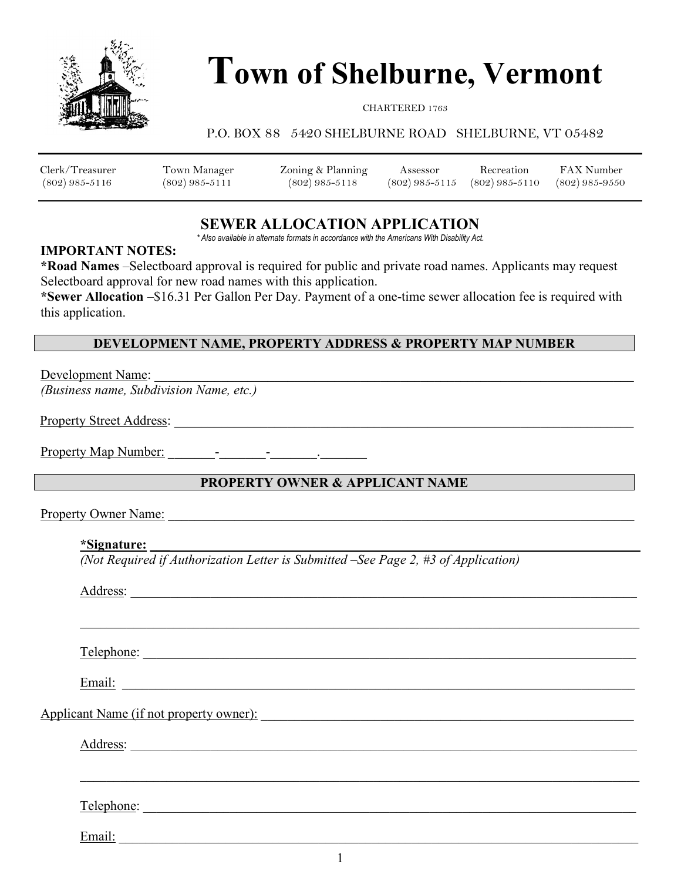

# Town of Shelburne, Vermont

#### CHARTERED 1763

#### P.O. BOX 88 5420 SHELBURNE ROAD SHELBURNE, VT 05482

| Clerk/Treasurer    | Town Manager   | Zoning & Planning | Assessor         | Recreation         | <b>FAX Number</b>  |
|--------------------|----------------|-------------------|------------------|--------------------|--------------------|
| $(802) 985 - 5116$ | (802) 985-5111 | $(802)$ 985-5118  | $(802)$ 985-5115 | $(802) 985 - 5110$ | $(802) 985 - 9550$ |

# SEWER ALLOCATION APPLICATION

\* Also available in alternate formats in accordance with the Americans With Disability Act.

#### IMPORTANT NOTES:

\*Road Names –Selectboard approval is required for public and private road names. Applicants may request Selectboard approval for new road names with this application.

\*Sewer Allocation –\$16.31 Per Gallon Per Day. Payment of a one-time sewer allocation fee is required with this application.

### DEVELOPMENT NAME, PROPERTY ADDRESS & PROPERTY MAP NUMBER

Development Name:

(Business name, Subdivision Name, etc.)

Property Street Address: \_\_\_\_\_\_\_\_\_\_\_\_\_\_\_\_\_\_\_\_\_\_\_\_\_\_\_\_\_\_\_\_\_\_\_\_\_\_\_\_\_\_\_\_\_\_\_\_\_\_\_\_\_\_\_\_\_\_\_\_\_\_\_\_\_\_\_\_\_

Property Map Number:  $\qquad \qquad$  -

#### **PROPERTY OWNER & APPLICANT NAME**

Property Owner Name:

#### \*Signature: \_\_\_

(Not Required if Authorization Letter is Submitted –See Page 2, #3 of Application)

| Address:                                                                                                                                                                                                                       |
|--------------------------------------------------------------------------------------------------------------------------------------------------------------------------------------------------------------------------------|
|                                                                                                                                                                                                                                |
|                                                                                                                                                                                                                                |
|                                                                                                                                                                                                                                |
| Email: explorer and the second contract of the second contract of the second contract of the second contract of the second contract of the second contract of the second contract of the second contract of the second contrac |
| Applicant Name (if not property owner):                                                                                                                                                                                        |
| Address:                                                                                                                                                                                                                       |
|                                                                                                                                                                                                                                |
|                                                                                                                                                                                                                                |
|                                                                                                                                                                                                                                |
| Email:                                                                                                                                                                                                                         |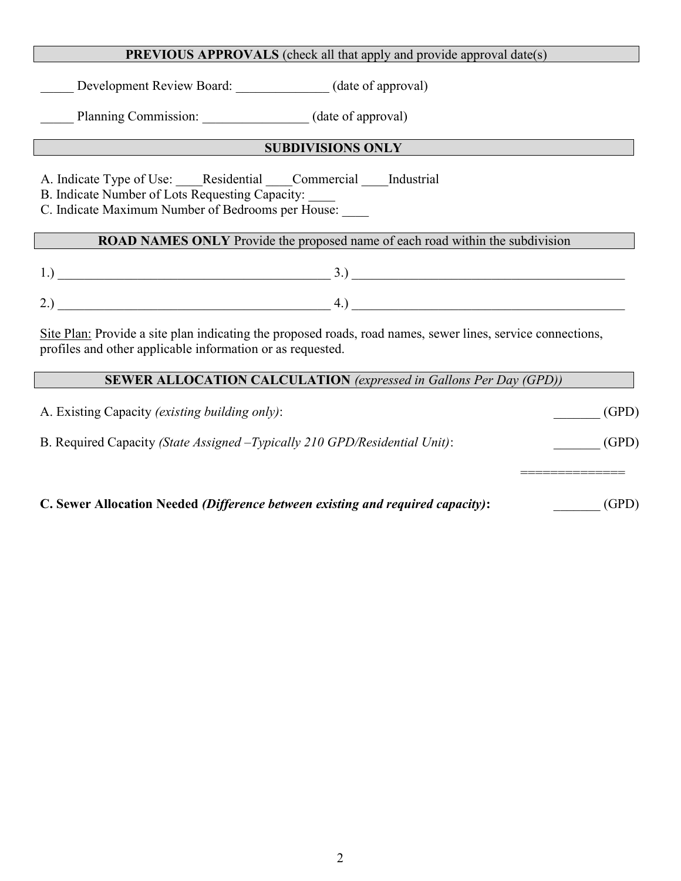#### PREVIOUS APPROVALS (check all that apply and provide approval date(s)

Development Review Board: (date of approval)

Planning Commission: \_\_\_\_\_\_\_\_\_\_\_\_\_\_\_ (date of approval)

## **SUBDIVISIONS ONLY**

A. Indicate Type of Use: <br>Residential Commercial Industrial

B. Indicate Number of Lots Requesting Capacity:

C. Indicate Maximum Number of Bedrooms per House: \_\_\_\_

# ROAD NAMES ONLY Provide the proposed name of each road within the subdivision

1.) \_\_\_\_\_\_\_\_\_\_\_\_\_\_\_\_\_\_\_\_\_\_\_\_\_\_\_\_\_\_\_\_\_\_\_\_\_\_\_\_\_ 3.) \_\_\_\_\_\_\_\_\_\_\_\_\_\_\_\_\_\_\_\_\_\_\_\_\_\_\_\_\_\_\_\_\_\_\_\_\_\_\_\_\_

 $2.)$   $4.)$ 

Site Plan: Provide a site plan indicating the proposed roads, road names, sewer lines, service connections, profiles and other applicable information or as requested.

# SEWER ALLOCATION CALCULATION (expressed in Gallons Per Day (GPD))

A. Existing Capacity (existing building only):  $(GPD)$ B. Required Capacity (State Assigned -Typically 210 GPD/Residential Unit): (GPD) ============== C. Sewer Allocation Needed *(Difference between existing and required capacity)*:  $(GPD)$